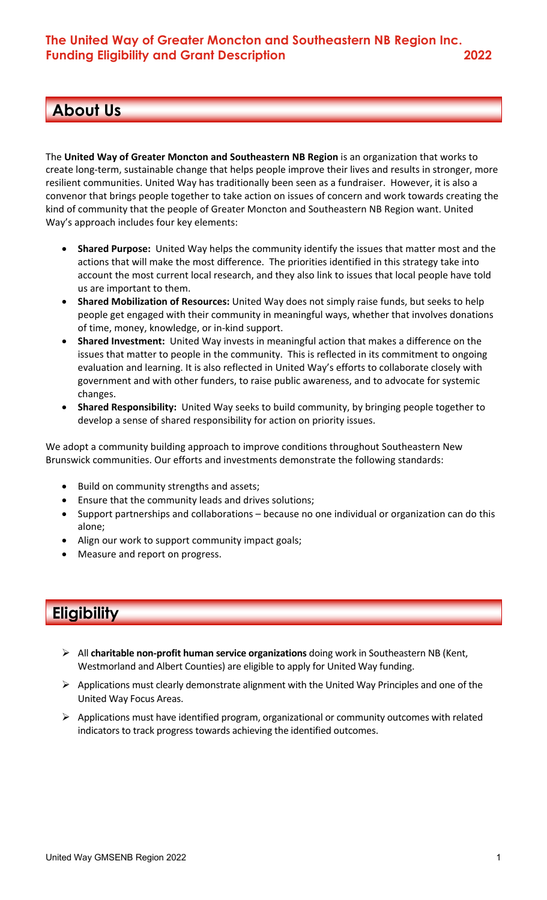# **About Us**

**Focus Areas**

The **United Way of Greater Moncton and Southeastern NB Region** is an organization that works to create long-term, sustainable change that helps people improve their lives and results in stronger, more resilient communities. United Way has traditionally been seen as a fundraiser. However, it is also a convenor that brings people together to take action on issues of concern and work towards creating the kind of community that the people of Greater Moncton and Southeastern NB Region want. United Way's approach includes four key elements:

- **Shared Purpose:** United Way helps the community identify the issues that matter most and the actions that will make the most difference. The priorities identified in this strategy take into account the most current local research, and they also link to issues that local people have told us are important to them.
- **Shared Mobilization of Resources:** United Way does not simply raise funds, but seeks to help people get engaged with their community in meaningful ways, whether that involves donations of time, money, knowledge, or in-kind support.
- **Shared Investment:** United Way invests in meaningful action that makes a difference on the issues that matter to people in the community. This is reflected in its commitment to ongoing evaluation and learning. It is also reflected in United Way's efforts to collaborate closely with government and with other funders, to raise public awareness, and to advocate for systemic changes.
- **Shared Responsibility:** United Way seeks to build community, by bringing people together to develop a sense of shared responsibility for action on priority issues.

We adopt a community building approach to improve conditions throughout Southeastern New Brunswick communities. Our efforts and investments demonstrate the following standards:

- Build on community strengths and assets;
- Ensure that the community leads and drives solutions;
- Support partnerships and collaborations because no one individual or organization can do this alone;
- Align our work to support community impact goals;
- Measure and report on progress.

# **Eligibility**

- Ø All **charitable non-profit human service organizations** doing work in Southeastern NB (Kent, Westmorland and Albert Counties) are eligible to apply for United Way funding.
- Ø Applications must clearly demonstrate alignment with the United Way Principles and one of the United Way Focus Areas.
- $\triangleright$  Applications must have identified program, organizational or community outcomes with related indicators to track progress towards achieving the identified outcomes.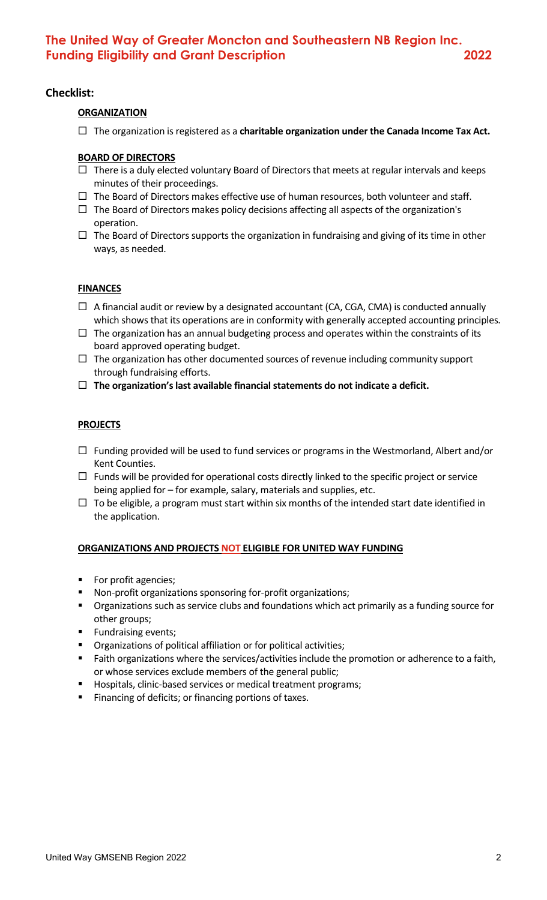#### **Checklist:**

#### **ORGANIZATION**

 $\Box$  The organization is registered as a **charitable organization under the Canada Income Tax Act.** 

#### **BOARD OF DIRECTORS**

- $\Box$  There is a duly elected voluntary Board of Directors that meets at regular intervals and keeps minutes of their proceedings.
- $\Box$  The Board of Directors makes effective use of human resources, both volunteer and staff.
- $\Box$  The Board of Directors makes policy decisions affecting all aspects of the organization's operation.
- $\Box$  The Board of Directors supports the organization in fundraising and giving of its time in other ways, as needed.

#### **FINANCES**

- $\Box$  A financial audit or review by a designated accountant (CA, CGA, CMA) is conducted annually which shows that its operations are in conformity with generally accepted accounting principles.
- $\Box$  The organization has an annual budgeting process and operates within the constraints of its board approved operating budget.
- $\Box$  The organization has other documented sources of revenue including community support through fundraising efforts.
- $\Box$  The organization's last available financial statements do not indicate a deficit.

#### **PROJECTS**

- $\Box$  Funding provided will be used to fund services or programs in the Westmorland, Albert and/or Kent Counties.
- $\Box$  Funds will be provided for operational costs directly linked to the specific project or service being applied for – for example, salary, materials and supplies, etc.
- $\Box$  To be eligible, a program must start within six months of the intended start date identified in the application.

#### **ORGANIZATIONS AND PROJECTS NOT ELIGIBLE FOR UNITED WAY FUNDING**

- § For profit agencies;
- § Non-profit organizations sponsoring for-profit organizations;
- § Organizations such as service clubs and foundations which act primarily as a funding source for other groups;
- § Fundraising events;
- § Organizations of political affiliation or for political activities;
- Faith organizations where the services/activities include the promotion or adherence to a faith, or whose services exclude members of the general public;
- Hospitals, clinic-based services or medical treatment programs;
- Financing of deficits; or financing portions of taxes.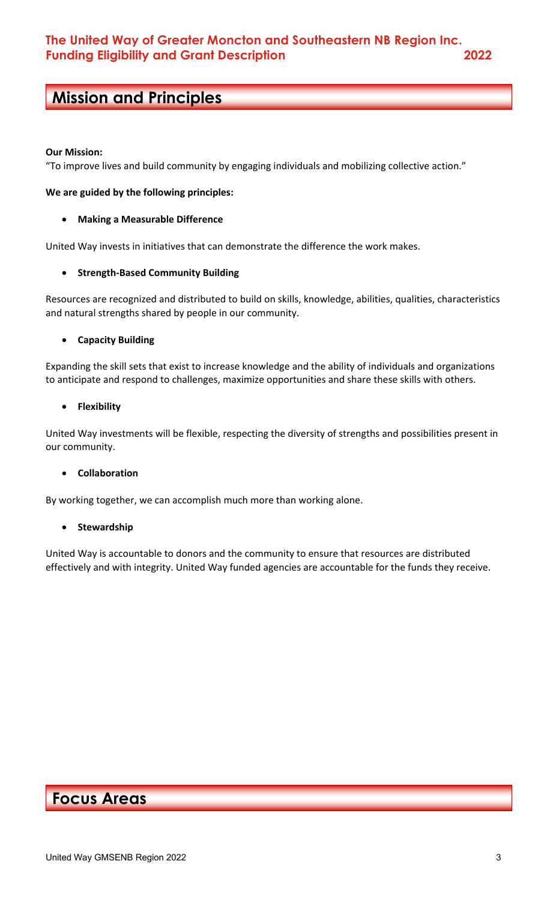# **Mission and Principles**

#### **Our Mission:**

**Focus Areas**

"To improve lives and build community by engaging individuals and mobilizing collective action."

#### **We are guided by the following principles:**

#### • **Making a Measurable Difference**

United Way invests in initiatives that can demonstrate the difference the work makes.

#### • **Strength-Based Community Building**

Resources are recognized and distributed to build on skills, knowledge, abilities, qualities, characteristics and natural strengths shared by people in our community.

#### • **Capacity Building**

Expanding the skill sets that exist to increase knowledge and the ability of individuals and organizations to anticipate and respond to challenges, maximize opportunities and share these skills with others.

#### • **Flexibility**

United Way investments will be flexible, respecting the diversity of strengths and possibilities present in our community.

#### • **Collaboration**

By working together, we can accomplish much more than working alone.

#### • **Stewardship**

United Way is accountable to donors and the community to ensure that resources are distributed effectively and with integrity. United Way funded agencies are accountable for the funds they receive.

## **Focus Areas**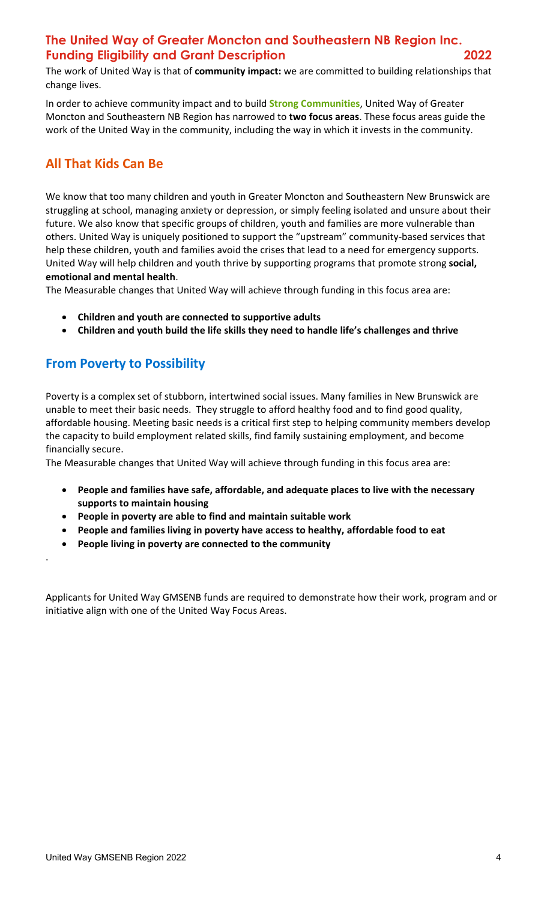## **The United Way of Greater Moncton and Southeastern NB Region Inc. Funding Eligibility and Grant Description 2022**

The work of United Way is that of **community impact:** we are committed to building relationships that change lives.

In order to achieve community impact and to build **Strong Communities**, United Way of Greater Moncton and Southeastern NB Region has narrowed to **two focus areas**. These focus areas guide the work of the United Way in the community, including the way in which it invests in the community.

## **All That Kids Can Be**

We know that too many children and youth in Greater Moncton and Southeastern New Brunswick are struggling at school, managing anxiety or depression, or simply feeling isolated and unsure about their future. We also know that specific groups of children, youth and families are more vulnerable than others. United Way is uniquely positioned to support the "upstream" community-based services that help these children, youth and families avoid the crises that lead to a need for emergency supports. United Way will help children and youth thrive by supporting programs that promote strong **social, emotional and mental health**.

The Measurable changes that United Way will achieve through funding in this focus area are:

- **Children and youth are connected to supportive adults**
- **Children and youth build the life skills they need to handle life's challenges and thrive**

## **From Poverty to Possibility**

.

Poverty is a complex set of stubborn, intertwined social issues. Many families in New Brunswick are unable to meet their basic needs. They struggle to afford healthy food and to find good quality, affordable housing. Meeting basic needs is a critical first step to helping community members develop the capacity to build employment related skills, find family sustaining employment, and become financially secure.

The Measurable changes that United Way will achieve through funding in this focus area are:

- **People and families have safe, affordable, and adequate places to live with the necessary supports to maintain housing**
- **People in poverty are able to find and maintain suitable work**
- **People and families living in poverty have access to healthy, affordable food to eat**
- **People living in poverty are connected to the community**

Applicants for United Way GMSENB funds are required to demonstrate how their work, program and or initiative align with one of the United Way Focus Areas.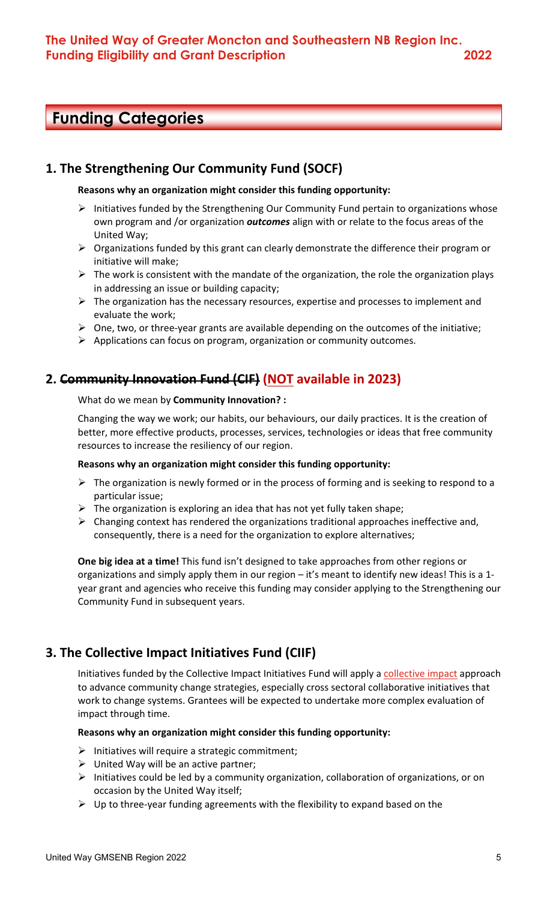# **Funding Categories**

### **1. The Strengthening Our Community Fund (SOCF)**

#### **Reasons why an organization might consider this funding opportunity:**

- $\triangleright$  Initiatives funded by the Strengthening Our Community Fund pertain to organizations whose own program and /or organization *outcomes* align with or relate to the focus areas of the United Way;
- $\triangleright$  Organizations funded by this grant can clearly demonstrate the difference their program or initiative will make;
- $\triangleright$  The work is consistent with the mandate of the organization, the role the organization plays in addressing an issue or building capacity;
- $\triangleright$  The organization has the necessary resources, expertise and processes to implement and evaluate the work;
- $\triangleright$  One, two, or three-year grants are available depending on the outcomes of the initiative;
- $\triangleright$  Applications can focus on program, organization or community outcomes.

### **2. Community Innovation Fund (CIF) (NOT available in 2023)**

What do we mean by **Community Innovation? :**

Changing the way we work; our habits, our behaviours, our daily practices. It is the creation of better, more effective products, processes, services, technologies or ideas that free community resources to increase the resiliency of our region.

#### **Reasons why an organization might consider this funding opportunity:**

- $\triangleright$  The organization is newly formed or in the process of forming and is seeking to respond to a particular issue;
- $\triangleright$  The organization is exploring an idea that has not yet fully taken shape;
- $\triangleright$  Changing context has rendered the organizations traditional approaches ineffective and, consequently, there is a need for the organization to explore alternatives;

**One big idea at a time!** This fund isn't designed to take approaches from other regions or organizations and simply apply them in our region – it's meant to identify new ideas! This is a 1 year grant and agencies who receive this funding may consider applying to the Strengthening our Community Fund in subsequent years.

### **3. The Collective Impact Initiatives Fund (CIIF)**

Initiatives funded by the Collective Impact Initiatives Fund will apply a collective impact approach to advance community change strategies, especially cross sectoral collaborative initiatives that work to change systems. Grantees will be expected to undertake more complex evaluation of impact through time.

#### **Reasons why an organization might consider this funding opportunity:**

- $\triangleright$  Initiatives will require a strategic commitment;
- $\triangleright$  United Way will be an active partner;
- $\triangleright$  Initiatives could be led by a community organization, collaboration of organizations, or on occasion by the United Way itself;
- $\triangleright$  Up to three-year funding agreements with the flexibility to expand based on the